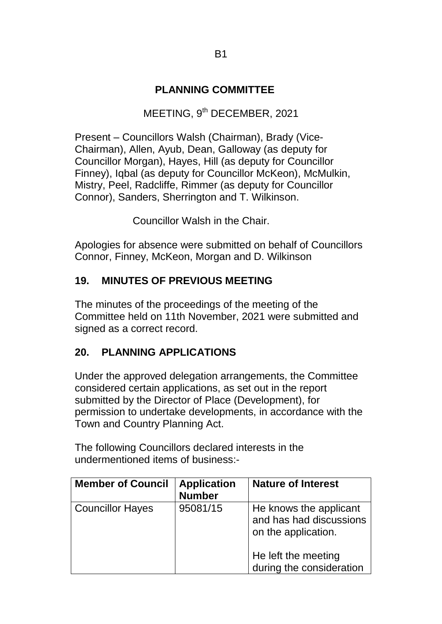#### **PLANNING COMMITTEE**

### MEETING, 9<sup>th</sup> DECEMBER, 2021

Present – Councillors Walsh (Chairman), Brady (Vice-Chairman), Allen, Ayub, Dean, Galloway (as deputy for Councillor Morgan), Hayes, Hill (as deputy for Councillor Finney), Iqbal (as deputy for Councillor McKeon), McMulkin, Mistry, Peel, Radcliffe, Rimmer (as deputy for Councillor Connor), Sanders, Sherrington and T. Wilkinson.

Councillor Walsh in the Chair.

Apologies for absence were submitted on behalf of Councillors Connor, Finney, McKeon, Morgan and D. Wilkinson

#### **19. MINUTES OF PREVIOUS MEETING**

The minutes of the proceedings of the meeting of the Committee held on 11th November, 2021 were submitted and signed as a correct record.

#### **20. PLANNING APPLICATIONS**

Under the approved delegation arrangements, the Committee considered certain applications, as set out in the report submitted by the Director of Place (Development), for permission to undertake developments, in accordance with the Town and Country Planning Act.

The following Councillors declared interests in the undermentioned items of business:-

| <b>Member of Council</b> | <b>Application</b><br><b>Number</b> | <b>Nature of Interest</b>                                                |
|--------------------------|-------------------------------------|--------------------------------------------------------------------------|
| <b>Councillor Hayes</b>  | 95081/15                            | He knows the applicant<br>and has had discussions<br>on the application. |
|                          |                                     | He left the meeting<br>during the consideration                          |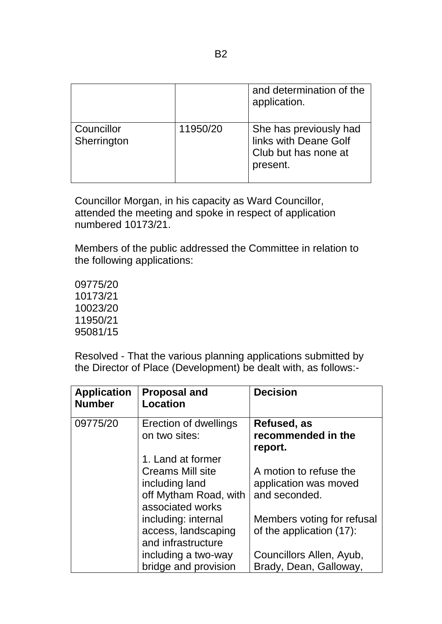|                           |          | and determination of the<br>application.                                            |
|---------------------------|----------|-------------------------------------------------------------------------------------|
| Councillor<br>Sherrington | 11950/20 | She has previously had<br>links with Deane Golf<br>Club but has none at<br>present. |

Councillor Morgan, in his capacity as Ward Councillor, attended the meeting and spoke in respect of application numbered 10173/21.

Members of the public addressed the Committee in relation to the following applications:

09775/20 10173/21 10023/20 11950/21 95081/15

Resolved - That the various planning applications submitted by the Director of Place (Development) be dealt with, as follows:-

| <b>Application</b><br><b>Number</b> | <b>Proposal and</b><br><b>Location</b>                                                                      | <b>Decision</b>                                                  |
|-------------------------------------|-------------------------------------------------------------------------------------------------------------|------------------------------------------------------------------|
| 09775/20                            | Erection of dwellings<br>on two sites:                                                                      | Refused, as<br>recommended in the<br>report.                     |
|                                     | 1. Land at former<br><b>Creams Mill site</b><br>including land<br>off Mytham Road, with<br>associated works | A motion to refuse the<br>application was moved<br>and seconded. |
|                                     | including: internal<br>access, landscaping<br>and infrastructure                                            | Members voting for refusal<br>of the application (17):           |
|                                     | including a two-way<br>bridge and provision                                                                 | Councillors Allen, Ayub,<br>Brady, Dean, Galloway,               |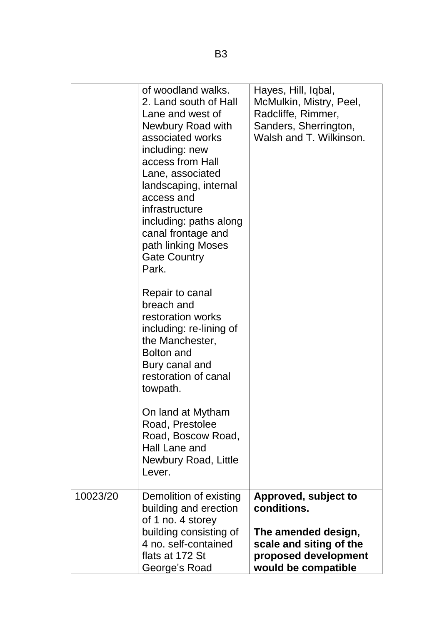|          | of woodland walks.<br>2. Land south of Hall<br>Lane and west of<br>Newbury Road with<br>associated works<br>including: new<br>access from Hall<br>Lane, associated<br>landscaping, internal<br>access and<br>infrastructure<br>including: paths along<br>canal frontage and<br>path linking Moses<br><b>Gate Country</b><br>Park. | Hayes, Hill, Iqbal,<br>McMulkin, Mistry, Peel,<br>Radcliffe, Rimmer,<br>Sanders, Sherrington,<br>Walsh and T. Wilkinson.             |
|----------|-----------------------------------------------------------------------------------------------------------------------------------------------------------------------------------------------------------------------------------------------------------------------------------------------------------------------------------|--------------------------------------------------------------------------------------------------------------------------------------|
|          | Repair to canal<br>breach and<br>restoration works<br>including: re-lining of<br>the Manchester,<br><b>Bolton and</b><br>Bury canal and<br>restoration of canal<br>towpath.                                                                                                                                                       |                                                                                                                                      |
|          | On land at Mytham<br>Road, Prestolee<br>Road, Boscow Road,<br>Hall Lane and<br>Newbury Road, Little<br>Lever.                                                                                                                                                                                                                     |                                                                                                                                      |
| 10023/20 | Demolition of existing<br>building and erection<br>of 1 no. 4 storey<br>building consisting of<br>4 no. self-contained<br>flats at 172 St<br>George's Road                                                                                                                                                                        | Approved, subject to<br>conditions.<br>The amended design,<br>scale and siting of the<br>proposed development<br>would be compatible |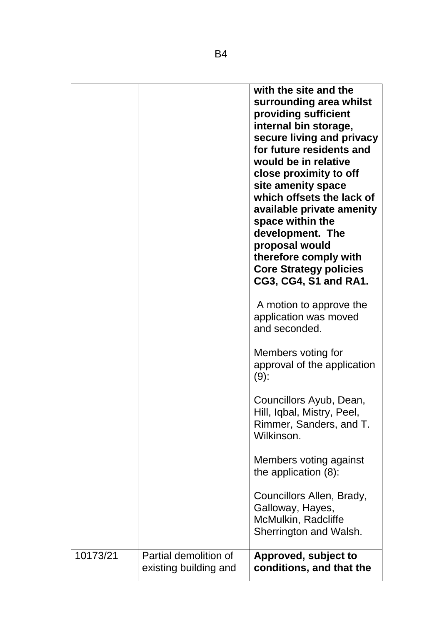|          |                                                | with the site and the<br>surrounding area whilst<br>providing sufficient<br>internal bin storage,<br>secure living and privacy<br>for future residents and<br>would be in relative<br>close proximity to off<br>site amenity space<br>which offsets the lack of<br>available private amenity<br>space within the<br>development. The<br>proposal would<br>therefore comply with<br><b>Core Strategy policies</b><br>CG3, CG4, S1 and RA1. |
|----------|------------------------------------------------|-------------------------------------------------------------------------------------------------------------------------------------------------------------------------------------------------------------------------------------------------------------------------------------------------------------------------------------------------------------------------------------------------------------------------------------------|
|          |                                                | A motion to approve the<br>application was moved<br>and seconded.                                                                                                                                                                                                                                                                                                                                                                         |
|          |                                                | Members voting for<br>approval of the application<br>$(9)$ :                                                                                                                                                                                                                                                                                                                                                                              |
|          |                                                | Councillors Ayub, Dean,<br>Hill, Iqbal, Mistry, Peel,<br>Rimmer, Sanders, and T.<br>Wilkinson.                                                                                                                                                                                                                                                                                                                                            |
|          |                                                | Members voting against<br>the application $(8)$ :                                                                                                                                                                                                                                                                                                                                                                                         |
|          |                                                | Councillors Allen, Brady,<br>Galloway, Hayes,<br>McMulkin, Radcliffe<br>Sherrington and Walsh.                                                                                                                                                                                                                                                                                                                                            |
| 10173/21 | Partial demolition of<br>existing building and | Approved, subject to<br>conditions, and that the                                                                                                                                                                                                                                                                                                                                                                                          |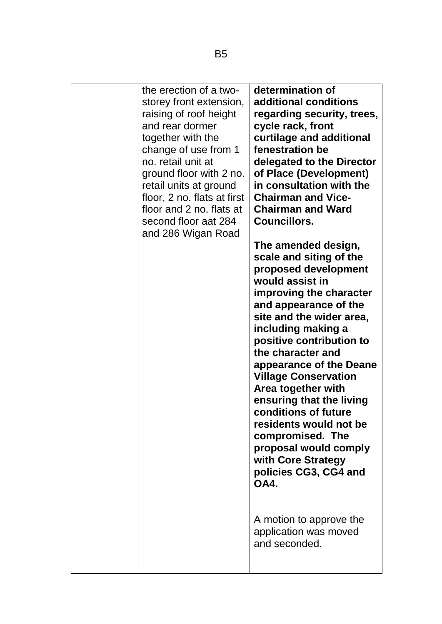| the erection of a two-<br>storey front extension,<br>raising of roof height<br>and rear dormer<br>together with the<br>change of use from 1<br>no. retail unit at<br>ground floor with 2 no.<br>retail units at ground<br>floor, 2 no. flats at first<br>floor and 2 no. flats at<br>second floor aat 284<br>and 286 Wigan Road | determination of<br>additional conditions<br>regarding security, trees,<br>cycle rack, front<br>curtilage and additional<br>fenestration be<br>delegated to the Director<br>of Place (Development)<br>in consultation with the<br><b>Chairman and Vice-</b><br><b>Chairman and Ward</b><br><b>Councillors.</b>                                                                                                                                                                                                            |
|---------------------------------------------------------------------------------------------------------------------------------------------------------------------------------------------------------------------------------------------------------------------------------------------------------------------------------|---------------------------------------------------------------------------------------------------------------------------------------------------------------------------------------------------------------------------------------------------------------------------------------------------------------------------------------------------------------------------------------------------------------------------------------------------------------------------------------------------------------------------|
|                                                                                                                                                                                                                                                                                                                                 | The amended design,<br>scale and siting of the<br>proposed development<br>would assist in<br>improving the character<br>and appearance of the<br>site and the wider area,<br>including making a<br>positive contribution to<br>the character and<br>appearance of the Deane<br><b>Village Conservation</b><br>Area together with<br>ensuring that the living<br><b>conditions of future</b><br>residents would not be<br>compromised. The<br>proposal would comply<br>with Core Strategy<br>policies CG3, CG4 and<br>OA4. |
|                                                                                                                                                                                                                                                                                                                                 | A motion to approve the<br>application was moved<br>and seconded.                                                                                                                                                                                                                                                                                                                                                                                                                                                         |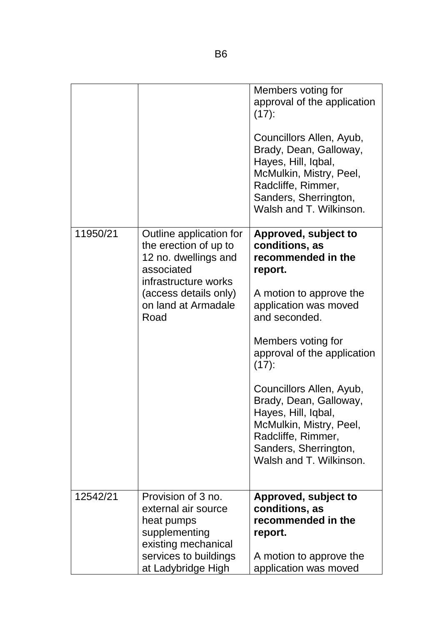|          |                                                                                                                                                                        | Members voting for<br>approval of the application<br>$(17)$ :<br>Councillors Allen, Ayub,<br>Brady, Dean, Galloway,<br>Hayes, Hill, Iqbal,<br>McMulkin, Mistry, Peel,<br>Radcliffe, Rimmer,<br>Sanders, Sherrington,<br>Walsh and T. Wilkinson.                                                                                                                                                 |
|----------|------------------------------------------------------------------------------------------------------------------------------------------------------------------------|-------------------------------------------------------------------------------------------------------------------------------------------------------------------------------------------------------------------------------------------------------------------------------------------------------------------------------------------------------------------------------------------------|
| 11950/21 | Outline application for<br>the erection of up to<br>12 no. dwellings and<br>associated<br>infrastructure works<br>(access details only)<br>on land at Armadale<br>Road | Approved, subject to<br>conditions, as<br>recommended in the<br>report.<br>A motion to approve the<br>application was moved<br>and seconded.<br>Members voting for<br>approval of the application<br>$(17)$ :<br>Councillors Allen, Ayub,<br>Brady, Dean, Galloway,<br>Hayes, Hill, Iqbal,<br>McMulkin, Mistry, Peel,<br>Radcliffe, Rimmer,<br>Sanders, Sherrington,<br>Walsh and T. Wilkinson. |
| 12542/21 | Provision of 3 no.<br>external air source<br>heat pumps<br>supplementing<br>existing mechanical<br>services to buildings<br>at Ladybridge High                         | Approved, subject to<br>conditions, as<br>recommended in the<br>report.<br>A motion to approve the<br>application was moved                                                                                                                                                                                                                                                                     |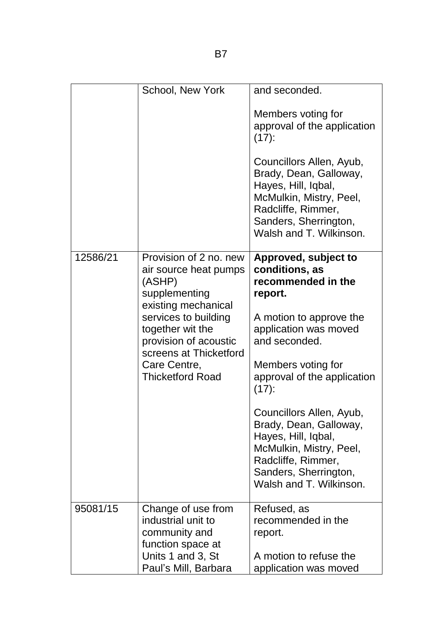|          | School, New York                                                                                    | and seconded.                                                                                                                                                                  |
|----------|-----------------------------------------------------------------------------------------------------|--------------------------------------------------------------------------------------------------------------------------------------------------------------------------------|
|          |                                                                                                     | Members voting for<br>approval of the application<br>$(17)$ :                                                                                                                  |
|          |                                                                                                     | Councillors Allen, Ayub,<br>Brady, Dean, Galloway,<br>Hayes, Hill, Iqbal,<br>McMulkin, Mistry, Peel,<br>Radcliffe, Rimmer,<br>Sanders, Sherrington,<br>Walsh and T. Wilkinson. |
| 12586/21 | Provision of 2 no. new<br>air source heat pumps<br>(ASHP)<br>supplementing<br>existing mechanical   | Approved, subject to<br>conditions, as<br>recommended in the<br>report.                                                                                                        |
|          | services to building<br>together wit the<br>provision of acoustic<br>screens at Thicketford         | A motion to approve the<br>application was moved<br>and seconded.                                                                                                              |
|          | Care Centre,<br><b>Thicketford Road</b>                                                             | Members voting for<br>approval of the application<br>$(17)$ :                                                                                                                  |
|          |                                                                                                     | Councillors Allen, Ayub,<br>Brady, Dean, Galloway,<br>Hayes, Hill, Iqbal,<br>McMulkin, Mistry, Peel,<br>Radcliffe, Rimmer,<br>Sanders, Sherrington,<br>Walsh and T. Wilkinson. |
| 95081/15 | Change of use from<br>industrial unit to<br>community and<br>function space at<br>Units 1 and 3, St | Refused, as<br>recommended in the<br>report.<br>A motion to refuse the                                                                                                         |
|          | Paul's Mill, Barbara                                                                                | application was moved                                                                                                                                                          |